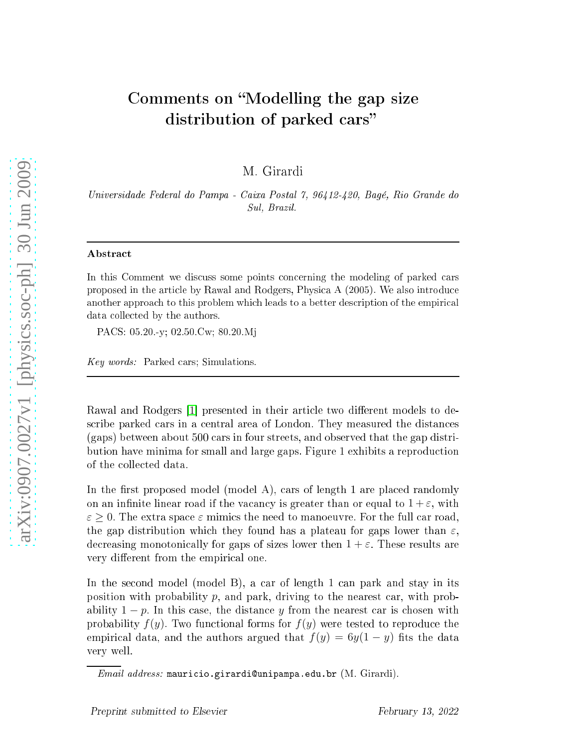# Comments on "Modelling the gap size" distribution of parked cars"

M. Girardi

Universidade Federal do Pampa - Caixa Postal 7, 96412-420, Bagé, Rio Grande do Sul, Brazil.

#### Abstra
t

In this Comment we discuss some points concerning the modeling of parked cars proposed in the arti
le by Rawal and Rodgers, Physi
a A (2005). We also introdu
e another approach to this problem which leads to a better description of the empirical data collected by the authors.

PACS: 05.20.-y; 02.50.Cw; 80.20.Mj

Key words: Parked ars; Simulations.

Rawal and Rodgers [1] presented in their article two different models to describe parked cars in a central area of London. They measured the distances (gaps) between about 500 ars in four streets, and observed that the gap distribution have minima for small and large gaps. Figure 1 exhibits a reprodu
tion of the olle
ted data.

In the first proposed model (model A), cars of length 1 are placed randomly on an infinite linear road if the vacancy is greater than or equal to  $1 + \varepsilon$ , with  $\varepsilon \geq 0$ . The extra space  $\varepsilon$  mimics the need to manoeuvre. For the full car road. the gap distribution which they found has a plateau for gaps lower than  $\varepsilon$ . decreasing monotonically for gaps of sizes lower then  $1 + \varepsilon$ . These results are very different from the empirical one.

In the second model (model B), a car of length 1 can park and stay in its position with probability  $p$ , and park, driving to the nearest car, with probability  $1 - p$ . In this case, the distance y from the nearest car is chosen with probability  $f(y)$ . Two functional forms for  $f(y)$  were tested to reproduce the empirical data, and the authors argued that  $f(y) = 6y(1 - y)$  fits the data very well.

 $Email \; address:$  mauricio.girardi@unipampa.edu.br (M. Girardi).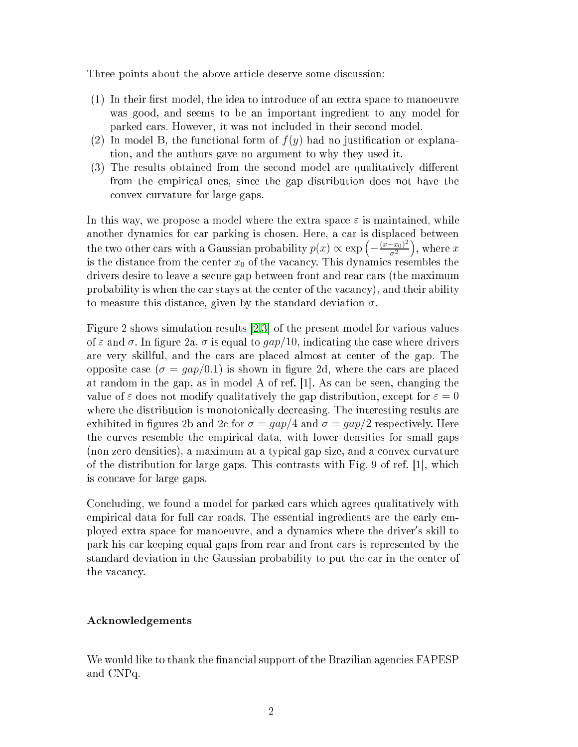Three points about the above article deserve some discussion:

- $(1)$  In their first model, the idea to introduce of an extra space to manoeuvre was good, and seems to be an important ingredient to any model for parked ars. However, it was not in
luded in their se
ond model.
- (2) In model B, the functional form of  $f(y)$  had no justification or explanation, and the authors gave no argument to why they used it.
- (3) The results obtained from the second model are qualitatively different from the empiri
al ones, sin
e the gap distribution does not have the onvex urvature for large gaps.

In this way, we propose a model where the extra space  $\varepsilon$  is maintained, while another dynamics for car parking is chosen. Here, a car is displaced between the two other cars with a Gaussian probability  $p(x) \propto \exp\left(-\frac{(x-x_0)^2}{\sigma^2}\right)$  $\frac{(-x_0)^2}{\sigma^2}$ , where x is the distance from the center  $x_0$  of the vacancy. This dynamics resembles the drivers desire to leave a secure gap between front and rear cars (the maximum probability is when the car stays at the center of the vacancy), and their ability to measure this distance, given by the standard deviation  $\sigma$ .

Figure 2 shows simulation results  $[2,3]$  $[2,3]$  of the present model for various values of  $\varepsilon$  and  $\sigma$ . In figure 2a,  $\sigma$  is equal to  $gap/10$ , indicating the case where drivers are very skillful, and the ars are pla
ed almost at enter of the gap. The opposite case ( $\sigma = \frac{qap}{0.1}$ ) is shown in figure 2d, where the cars are placed at random in the gap, as in model A of ref.  $[1]$ . As can be seen, changing the value of  $\varepsilon$  does not modify qualitatively the gap distribution, except for  $\varepsilon = 0$ where the distribution is monotonically decreasing. The interesting results are exhibited in figures 2b and 2c for  $\sigma = gap/4$  and  $\sigma = gap/2$  respectively. Here the urves resemble the empiri
al data, with lower densities for small gaps (non zero densities), a maximum at a typi
al gap size, and a onvex urvature of the distribution for large gaps. This contrasts with Fig. 9 of ref.  $|1|$ , which is on
ave for large gaps.

Concluding, we found a model for parked cars which agrees qualitatively with empiri
al data for full ar roads. The essential ingredients are the early employed extra spa
e for manoeuvre, and a dynami
s where the driver′ s skill to park his ar keeping equal gaps from rear and front ars is represented by the standard deviation in the Gaussian probability to put the ar in the enter of the vacancy.

#### A
knowledgements

We would like to thank the financial support of the Brazilian agencies FAPESP and CNPq.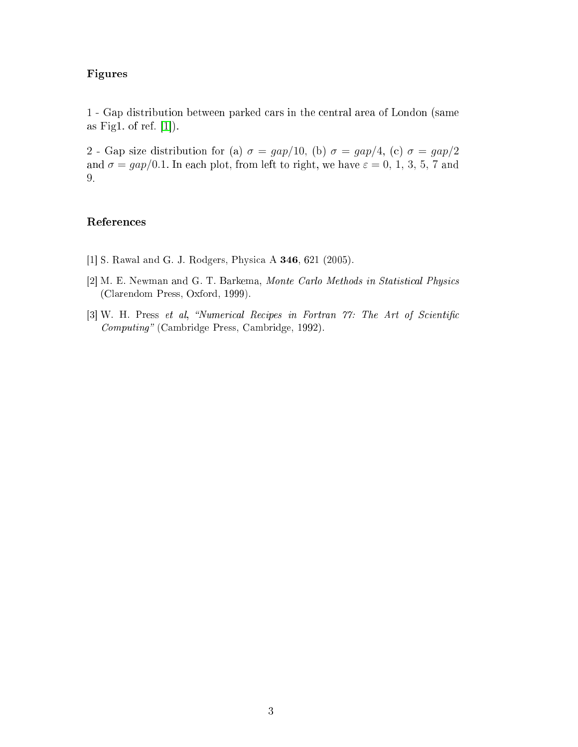## Figures

1 - Gap distribution between parked cars in the central area of London (same as Fig1. of ref.  $[1]$ .

2 - Gap size distribution for (a)  $\sigma = gap/10$ , (b)  $\sigma = gap/4$ , (c)  $\sigma = gap/2$ and  $\sigma = gap/0.1$ . In each plot, from left to right, we have  $\varepsilon = 0, 1, 3, 5, 7$  and 9.

### <span id="page-2-0"></span>Referen
es

- <span id="page-2-1"></span>[1] S. Rawal and G. J. Rodgers, Physica A  $346$ , 621 (2005).
- [2] M. E. Newman and G. T. Barkema, Monte Carlo Methods in Statistical Physics (Clarendom Press, Oxford, 1999).
- <span id="page-2-2"></span>[3] W. H. Press et al, "Numerical Recipes in Fortran 77: The Art of Scientific Computing" (Cambridge Press, Cambridge, 1992).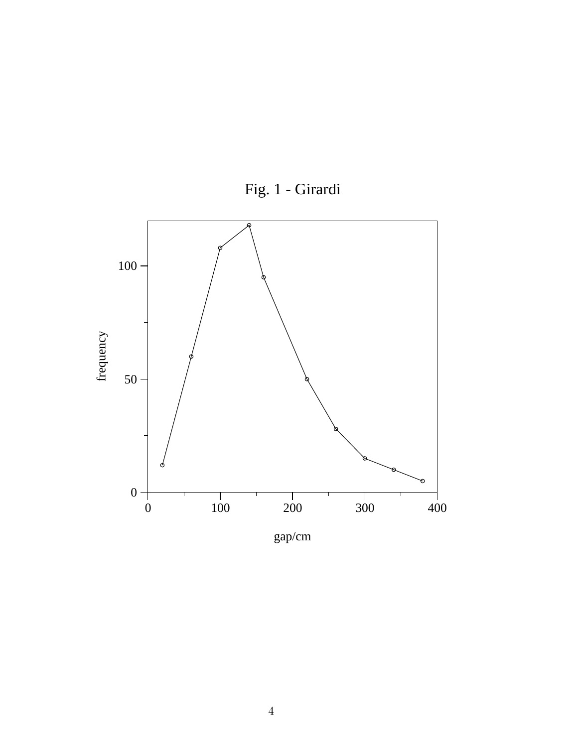

Fig. 1 - Girardi

4